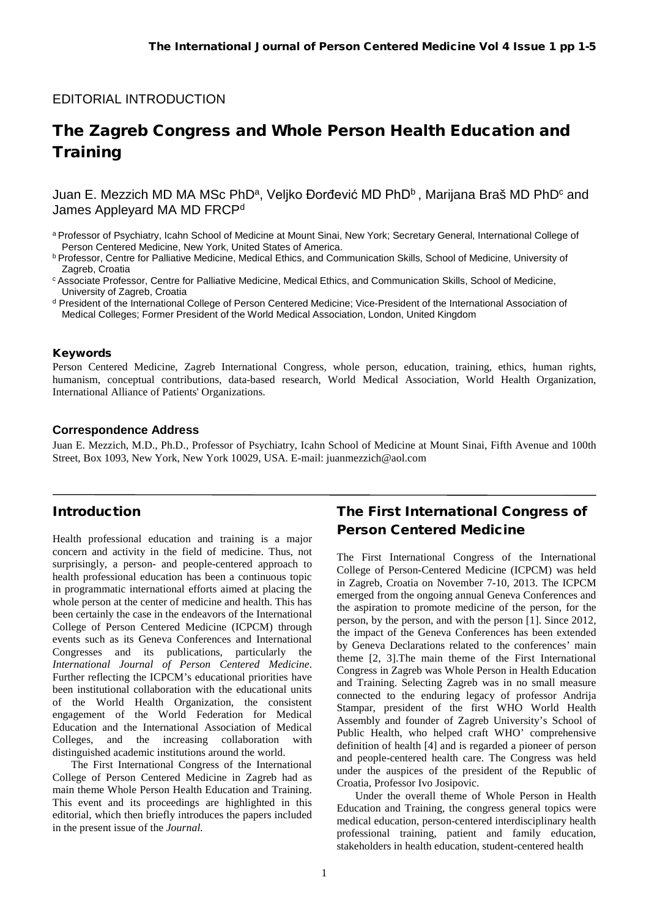### EDITORIAL INTRODUCTION

# The Zagreb Congress and Whole Person Health Education and **Training**

Juan E. Mezzich MD MA MSc PhD<sup>a</sup>, Veljko Đorđević MD PhD<sup>b</sup>, Marijana Braš MD PhD<sup>c</sup> and James Appleyard MA MD FRCP<sup>d</sup>

#### Keywords

Person Centered Medicine, Zagreb International Congress, whole person, education, training, ethics, human rights, humanism, conceptual contributions, data-based research, World Medical Association, World Health Organization, International Alliance of Patients' Organizations.

#### **Correspondence Address**

Juan E. Mezzich, M.D., Ph.D., Professor of Psychiatry, Icahn School of Medicine at Mount Sinai, Fifth Avenue and 100th Street, Box 1093, New York, New York 10029, USA. E-mail: juanmezzich@aol.com

#### Introduction

Health professional education and training is a major concern and activity in the field of medicine. Thus, not surprisingly, a person- and people-centered approach to health professional education has been a continuous topic in programmatic international efforts aimed at placing the whole person at the center of medicine and health. This has been certainly the case in the endeavors of the International College of Person Centered Medicine (ICPCM) through events such as its Geneva Conferences and International Congresses and its publications, particularly the *International Journal of Person Centered Medicine*. Further reflecting the ICPCM's educational priorities have been institutional collaboration with the educational units of the World Health Organization, the consistent engagement of the World Federation for Medical Education and the International Association of Medical Colleges, and the increasing collaboration with distinguished academic institutions around the world.

The First International Congress of the International College of Person Centered Medicine in Zagreb had as main theme Whole Person Health Education and Training. This event and its proceedings are highlighted in this editorial, which then briefly introduces the papers included in the present issue of the *Journal.*

# The First International Congress of Person Centered Medicine

The First International Congress of the International College of Person-Centered Medicine (ICPCM) was held in Zagreb, Croatia on November 7-10, 2013. The ICPCM emerged from the ongoing annual Geneva Conferences and the aspiration to promote medicine of the person, for the person, by the person, and with the person [1]. Since 2012, the impact of the Geneva Conferences has been extended by Geneva Declarations related to the conferences' main theme [2, 3].The main theme of the First International Congress in Zagreb was Whole Person in Health Education and Training. Selecting Zagreb was in no small measure connected to the enduring legacy of professor Andrija Stampar, president of the first WHO World Health Assembly and founder of Zagreb University's School of Public Health, who helped craft WHO' comprehensive definition of health [4] and is regarded a pioneer of person and people-centered health care. The Congress was held under the auspices of the president of the Republic of Croatia, Professor Ivo Josipovic.

Under the overall theme of Whole Person in Health Education and Training, the congress general topics were medical education, person-centered interdisciplinary health professional training, patient and family education, stakeholders in health education, student-centered health

a Professor of Psychiatry, Icahn School of Medicine at Mount Sinai, New York; Secretary General, International College of Person Centered Medicine, New York, United States of America.

b Professor, Centre for Palliative Medicine, Medical Ethics, and Communication Skills, School of Medicine, University of Zagreb, Croatia

<sup>&</sup>lt;sup>c</sup> Associate Professor, Centre for Palliative Medicine, Medical Ethics, and Communication Skills, School of Medicine, University of Zagreb, Croatia<br>d President of the International College of Person Centered Medicine; Vice-President of the International Association of

Medical Colleges; Former President of the World Medical Association, London, United Kingdom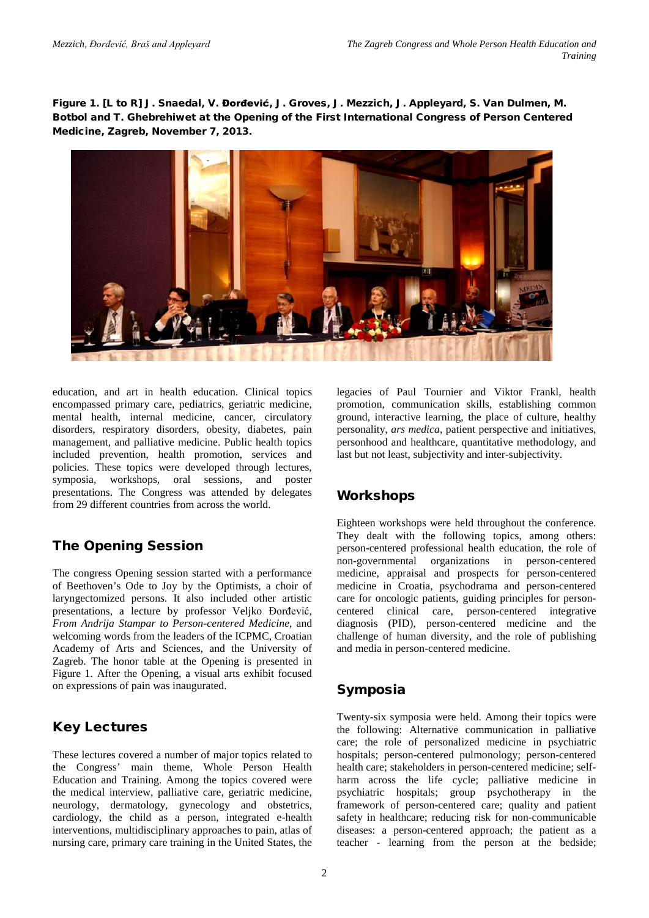Figure 1. [L to R] J. Snaedal, V. Đorđević, J. Groves, J. Mezzich, J. Appleyard, S. Van Dulmen, M. Botbol and T. Ghebrehiwet at the Opening of the First International Congress of Person Centered Medicine, Zagreb, November 7, 2013.



education, and art in health education. Clinical topics encompassed primary care, pediatrics, geriatric medicine, mental health, internal medicine, cancer, circulatory disorders, respiratory disorders, obesity, diabetes, pain management, and palliative medicine. Public health topics included prevention, health promotion, services and policies. These topics were developed through lectures, symposia, workshops, oral sessions, and poster presentations. The Congress was attended by delegates from 29 different countries from across the world.

# The Opening Session

The congress Opening session started with a performance of Beethoven's Ode to Joy by the Optimists, a choir of laryngectomized persons. It also included other artistic presentations, a lecture by professor Veljko Đorđević, *From Andrija Stampar to Person-centered Medicine,* and welcoming words from the leaders of the ICPMC, Croatian Academy of Arts and Sciences, and the University of Zagreb. The honor table at the Opening is presented in Figure 1. After the Opening, a visual arts exhibit focused on expressions of pain was inaugurated.

# Key Lectures

These lectures covered a number of major topics related to the Congress' main theme, Whole Person Health Education and Training. Among the topics covered were the medical interview, palliative care, geriatric medicine, neurology, dermatology, gynecology and obstetrics, cardiology, the child as a person, integrated e-health interventions, multidisciplinary approaches to pain, atlas of nursing care, primary care training in the United States, the

legacies of Paul Tournier and Viktor Frankl, health promotion, communication skills, establishing common ground, interactive learning, the place of culture, healthy personality, *ars medica*, patient perspective and initiatives, personhood and healthcare, quantitative methodology, and last but not least, subjectivity and inter-subjectivity.

# Workshops

Eighteen workshops were held throughout the conference. They dealt with the following topics, among others: person-centered professional health education, the role of non-governmental organizations in person-centered medicine, appraisal and prospects for person-centered medicine in Croatia, psychodrama and person-centered care for oncologic patients, guiding principles for personcentered clinical care, person-centered integrative diagnosis (PID), person-centered medicine and the challenge of human diversity, and the role of publishing and media in person-centered medicine.

# Symposia

Twenty-six symposia were held. Among their topics were the following: Alternative communication in palliative care; the role of personalized medicine in psychiatric hospitals; person-centered pulmonology; person-centered health care; stakeholders in person-centered medicine; selfharm across the life cycle; palliative medicine in psychiatric hospitals; group psychotherapy in the framework of person-centered care; quality and patient safety in healthcare; reducing risk for non-communicable diseases: a person-centered approach; the patient as a teacher - learning from the person at the bedside;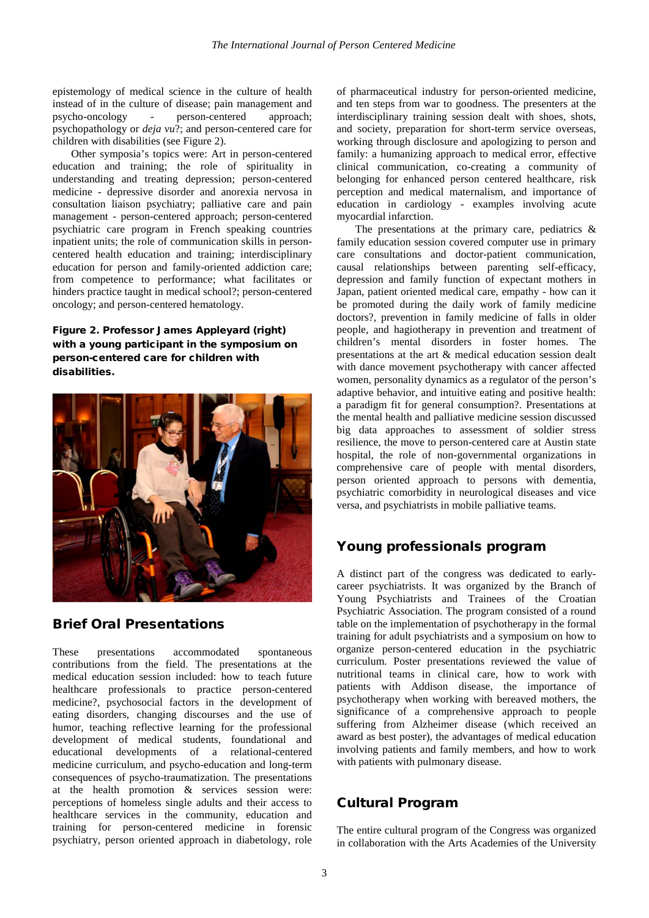epistemology of medical science in the culture of health instead of in the culture of disease; pain management and psycho-oncology - person-centered approach; psychopathology or *deja vu*?; and person-centered care for children with disabilities (see Figure 2).

Other symposia's topics were: Art in person-centered education and training; the role of spirituality in understanding and treating depression; person-centered medicine - depressive disorder and anorexia nervosa in consultation liaison psychiatry; palliative care and pain management - person-centered approach; person-centered psychiatric care program in French speaking countries inpatient units; the role of communication skills in personcentered health education and training; interdisciplinary education for person and family-oriented addiction care; from competence to performance; what facilitates or hinders practice taught in medical school?; person-centered oncology; and person-centered hematology.

#### Figure 2. Professor James Appleyard (right) with a young participant in the symposium on person-centered care for children with disabilities.



### Brief Oral Presentations

These presentations accommodated spontaneous contributions from the field. The presentations at the medical education session included: how to teach future healthcare professionals to practice person-centered medicine?, psychosocial factors in the development of eating disorders, changing discourses and the use of humor, teaching reflective learning for the professional development of medical students, foundational and educational developments of a relational-centered medicine curriculum, and psycho-education and long-term consequences of psycho-traumatization. The presentations at the health promotion & services session were: perceptions of homeless single adults and their access to healthcare services in the community, education and training for person-centered medicine in forensic psychiatry, person oriented approach in diabetology, role

of pharmaceutical industry for person-oriented medicine, and ten steps from war to goodness. The presenters at the interdisciplinary training session dealt with shoes, shots, and society, preparation for short-term service overseas, working through disclosure and apologizing to person and family: a humanizing approach to medical error, effective clinical communication, co-creating a community of belonging for enhanced person centered healthcare, risk perception and medical maternalism, and importance of education in cardiology - examples involving acute myocardial infarction.

The presentations at the primary care, pediatrics  $\&$ family education session covered computer use in primary care consultations and doctor-patient communication, causal relationships between parenting self-efficacy, depression and family function of expectant mothers in Japan, patient oriented medical care, empathy - how can it be promoted during the daily work of family medicine doctors?, prevention in family medicine of falls in older people, and hagiotherapy in prevention and treatment of children's mental disorders in foster homes. The presentations at the art & medical education session dealt with dance movement psychotherapy with cancer affected women, personality dynamics as a regulator of the person's adaptive behavior, and intuitive eating and positive health: a paradigm fit for general consumption?. Presentations at the mental health and palliative medicine session discussed big data approaches to assessment of soldier stress resilience, the move to person-centered care at Austin state hospital, the role of non-governmental organizations in comprehensive care of people with mental disorders, person oriented approach to persons with dementia, psychiatric comorbidity in neurological diseases and vice versa, and psychiatrists in mobile palliative teams.

### Young professionals program

A distinct part of the congress was dedicated to earlycareer psychiatrists. It was organized by the Branch of Young Psychiatrists and Trainees of the Croatian Psychiatric Association. The program consisted of a round table on the implementation of psychotherapy in the formal training for adult psychiatrists and a symposium on how to organize person-centered education in the psychiatric curriculum. Poster presentations reviewed the value of nutritional teams in clinical care, how to work with patients with Addison disease, the importance of psychotherapy when working with bereaved mothers, the significance of a comprehensive approach to people suffering from Alzheimer disease (which received an award as best poster), the advantages of medical education involving patients and family members, and how to work with patients with pulmonary disease.

### Cultural Program

The entire cultural program of the Congress was organized in collaboration with the Arts Academies of the University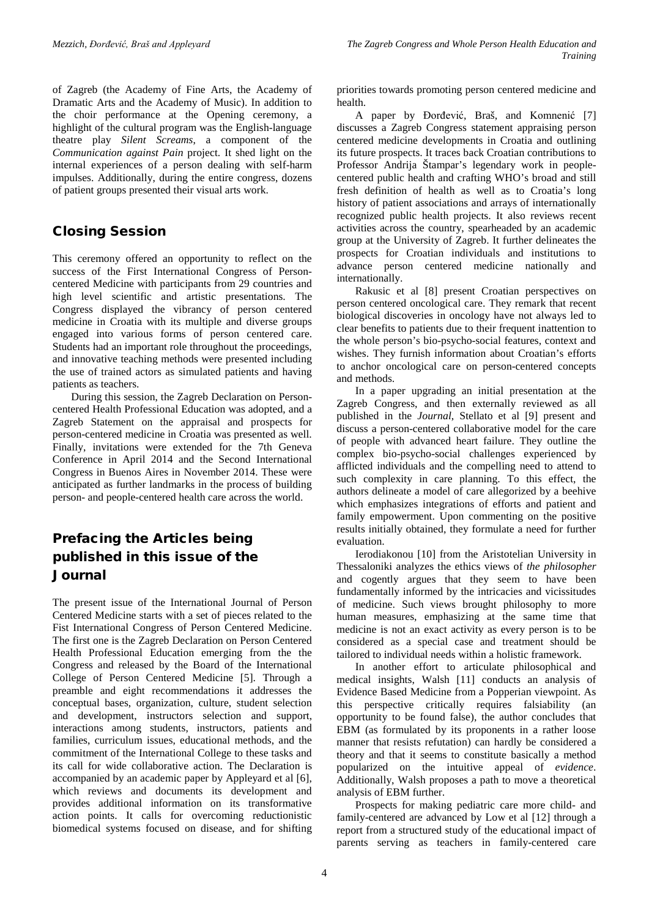of Zagreb (the Academy of Fine Arts, the Academy of Dramatic Arts and the Academy of Music). In addition to the choir performance at the Opening ceremony, a highlight of the cultural program was the English-language theatre play *Silent Screams*, a component of the *Communication against Pain* project. It shed light on the internal experiences of a person dealing with self-harm impulses. Additionally, during the entire congress, dozens of patient groups presented their visual arts work.

# Closing Session

This ceremony offered an opportunity to reflect on the success of the First International Congress of Personcentered Medicine with participants from 29 countries and high level scientific and artistic presentations. The Congress displayed the vibrancy of person centered medicine in Croatia with its multiple and diverse groups engaged into various forms of person centered care. Students had an important role throughout the proceedings, and innovative teaching methods were presented including the use of trained actors as simulated patients and having patients as teachers.

During this session, the Zagreb Declaration on Personcentered Health Professional Education was adopted, and a Zagreb Statement on the appraisal and prospects for person-centered medicine in Croatia was presented as well. Finally, invitations were extended for the 7th Geneva Conference in April 2014 and the Second International Congress in Buenos Aires in November 2014. These were anticipated as further landmarks in the process of building person- and people-centered health care across the world.

# Prefacing the Articles being published in this issue of the Journal

The present issue of the International Journal of Person Centered Medicine starts with a set of pieces related to the Fist International Congress of Person Centered Medicine. The first one is the Zagreb Declaration on Person Centered Health Professional Education emerging from the the Congress and released by the Board of the International College of Person Centered Medicine [5]. Through a preamble and eight recommendations it addresses the conceptual bases, organization, culture, student selection and development, instructors selection and support, interactions among students, instructors, patients and families, curriculum issues, educational methods, and the commitment of the International College to these tasks and its call for wide collaborative action. The Declaration is accompanied by an academic paper by Appleyard et al [6], which reviews and documents its development and provides additional information on its transformative action points. It calls for overcoming reductionistic biomedical systems focused on disease, and for shifting

priorities towards promoting person centered medicine and health.

A paper by Đorđević, Braš, and Komnenić [7] discusses a Zagreb Congress statement appraising person centered medicine developments in Croatia and outlining its future prospects. It traces back Croatian contributions to Professor Andrija Štampar's legendary work in peoplecentered public health and crafting WHO's broad and still fresh definition of health as well as to Croatia's long history of patient associations and arrays of internationally recognized public health projects. It also reviews recent activities across the country, spearheaded by an academic group at the University of Zagreb. It further delineates the prospects for Croatian individuals and institutions to advance person centered medicine nationally and internationally.

Rakusic et al [8] present Croatian perspectives on person centered oncological care. They remark that recent biological discoveries in oncology have not always led to clear benefits to patients due to their frequent inattention to the whole person's bio-psycho-social features, context and wishes. They furnish information about Croatian's efforts to anchor oncological care on person-centered concepts and methods.

In a paper upgrading an initial presentation at the Zagreb Congress, and then externally reviewed as all published in the *Journal*, Stellato et al [9] present and discuss a person-centered collaborative model for the care of people with advanced heart failure. They outline the complex bio-psycho-social challenges experienced by afflicted individuals and the compelling need to attend to such complexity in care planning. To this effect, the authors delineate a model of care allegorized by a beehive which emphasizes integrations of efforts and patient and family empowerment. Upon commenting on the positive results initially obtained, they formulate a need for further evaluation.

Ierodiakonou [10] from the Aristotelian University in Thessaloniki analyzes the ethics views of *the philosopher* and cogently argues that they seem to have been fundamentally informed by the intricacies and vicissitudes of medicine. Such views brought philosophy to more human measures, emphasizing at the same time that medicine is not an exact activity as every person is to be considered as a special case and treatment should be tailored to individual needs within a holistic framework.

In another effort to articulate philosophical and medical insights, Walsh [11] conducts an analysis of Evidence Based Medicine from a Popperian viewpoint. As this perspective critically requires falsiability (an opportunity to be found false), the author concludes that EBM (as formulated by its proponents in a rather loose manner that resists refutation) can hardly be considered a theory and that it seems to constitute basically a method popularized on the intuitive appeal of *evidence*. Additionally, Walsh proposes a path to move a theoretical analysis of EBM further.

Prospects for making pediatric care more child- and family-centered are advanced by Low et al [12] through a report from a structured study of the educational impact of parents serving as teachers in family-centered care